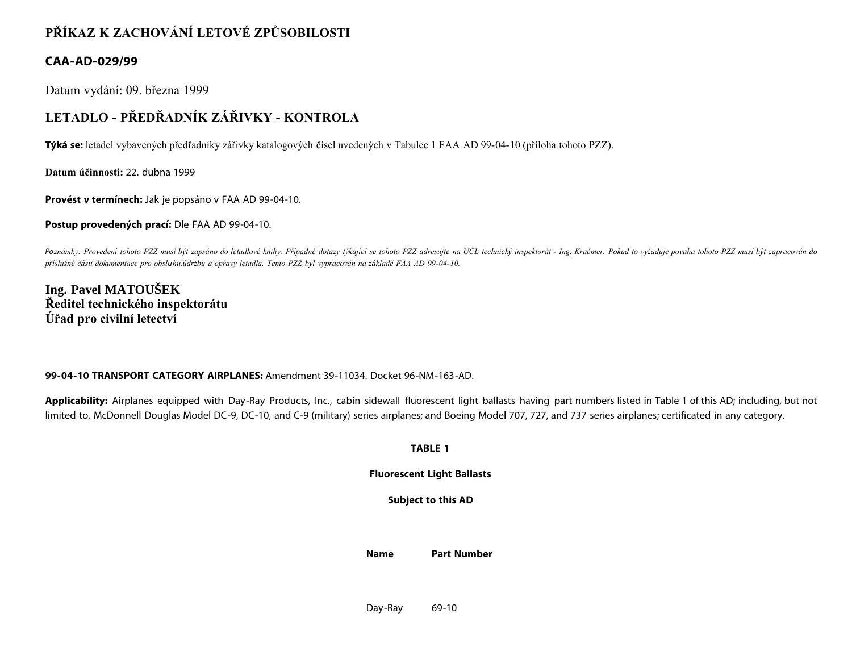# **PŘÍKAZ K ZACHOVÁNÍ LETOVÉ ZPŮSOBILOSTI**

### **CAA-AD-029/99**

Datum vydání: 09. března 1999

## **LETADLO - PŘEDŘADNÍK ZÁŘIVKY - KONTROLA**

**Týká se:** letadel vybavených předřadníky zářivky katalogových čísel uvedených v Tabulce 1 FAA AD 99-04-10 (příloha tohoto PZZ).

**Datum účinnosti:** 22. dubna 1999

**Provést v termínech:** Jak je popsáno v FAA AD 99-04-10.

**Postup provedených prací:** Dle FAA AD 99-04-10.

Poznámky: Provedení tohoto PZZ musí být zapsáno do letadlové knihy. Případné dotazy týkající se tohoto PZZ adresujte na ÚCL technický inspektorát - Ing. Kračmer. Pokud to vyžaduje povaha tohoto PZZ musí být zapracován do *příslušné části dokumentace pro obsluhu,údržbu a opravy letadla. Tento PZZ byl vypracován na základě FAA AD 99-04-10.*

**Ing. Pavel MATOUŠEK Ředitel technického inspektorátu Úřad pro civilní letectví**

#### **99-04-10 TRANSPORT CATEGORY AIRPLANES:** Amendment 39-11034. Docket 96-NM-163-AD.

Applicability: Airplanes equipped with Day-Ray Products, Inc., cabin sidewall fluorescent light ballasts having part numbers listed in Table 1 of this AD; including, but not limited to, McDonnell Douglas Model DC-9, DC-10, and C-9 (military) series airplanes; and Boeing Model 707, 727, and 737 series airplanes; certificated in any category.

**TABLE 1**

#### **Fluorescent Light Ballasts**

**Subject to this AD**

**Name Part Number**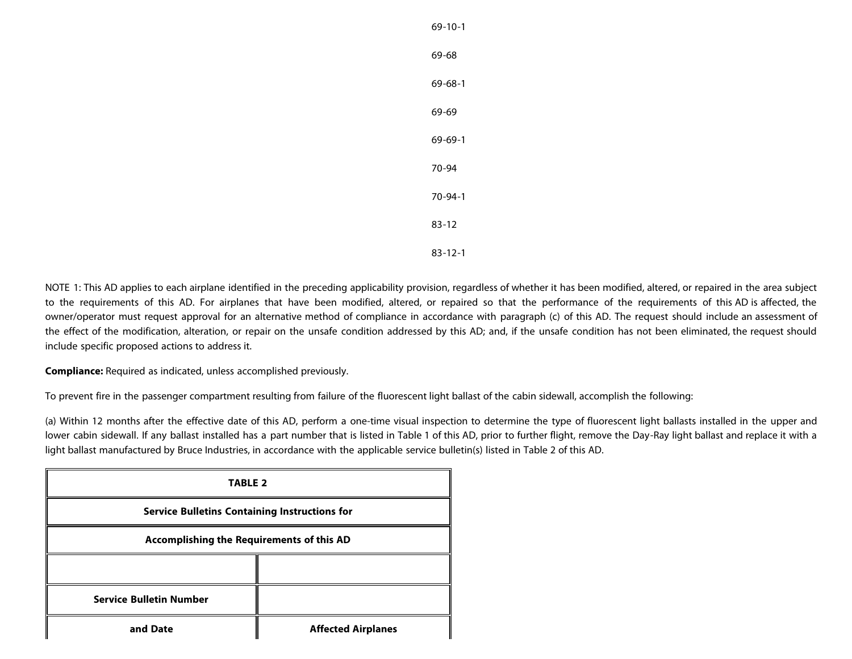| 69-10-1       |
|---------------|
| 69-68         |
| 69-68-1       |
| 69-69         |
| 69-69-1       |
| 70-94         |
| 70-94-1       |
| $83 - 12$     |
| $83 - 12 - 1$ |

NOTE 1: This AD applies to each airplane identified in the preceding applicability provision, regardless of whether it has been modified, altered, or repaired in the area subject to the requirements of this AD. For airplanes that have been modified, altered, or repaired so that the performance of the requirements of this AD is affected, the owner/operator must request approval for an alternative method of compliance in accordance with paragraph (c) of this AD. The request should include an assessment of the effect of the modification, alteration, or repair on the unsafe condition addressed by this AD; and, if the unsafe condition has not been eliminated, the request should include specific proposed actions to address it.

**Compliance:** Required as indicated, unless accomplished previously.

To prevent fire in the passenger compartment resulting from failure of the fluorescent light ballast of the cabin sidewall, accomplish the following:

(a) Within 12 months after the effective date of this AD, perform a one-time visual inspection to determine the type of fluorescent light ballasts installed in the upper and lower cabin sidewall. If any ballast installed has a part number that is listed in Table 1 of this AD, prior to further flight, remove the Day-Ray light ballast and replace it with a light ballast manufactured by Bruce Industries, in accordance with the applicable service bulletin(s) listed in Table 2 of this AD.

| <b>TABLE 2</b>                                       |                           |  |  |
|------------------------------------------------------|---------------------------|--|--|
| <b>Service Bulletins Containing Instructions for</b> |                           |  |  |
| Accomplishing the Requirements of this AD            |                           |  |  |
|                                                      |                           |  |  |
| <b>Service Bulletin Number</b>                       |                           |  |  |
| and Date                                             | <b>Affected Airplanes</b> |  |  |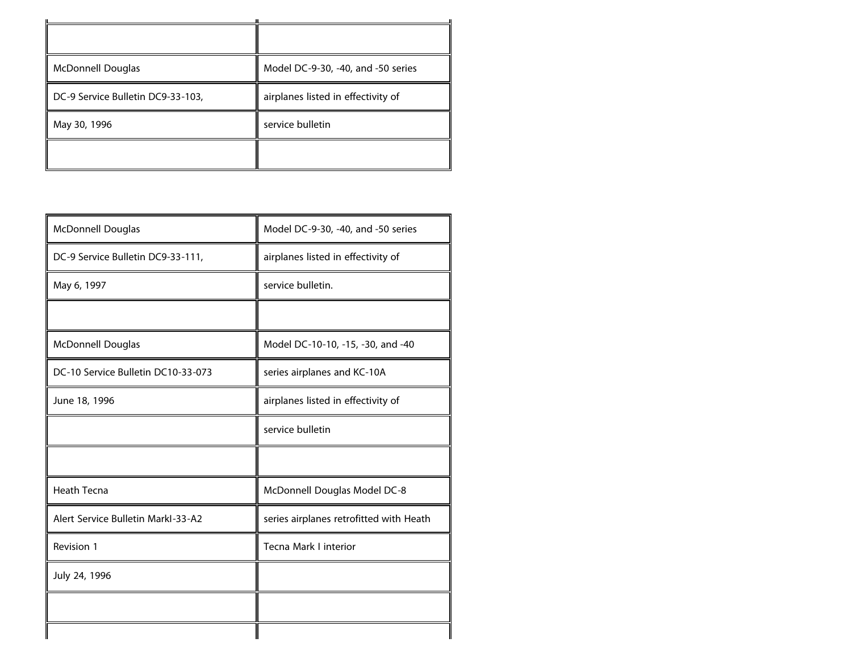| <b>McDonnell Douglas</b>          | Model DC-9-30, -40, and -50 series |
|-----------------------------------|------------------------------------|
| DC-9 Service Bulletin DC9-33-103, | airplanes listed in effectivity of |
| May 30, 1996                      | service bulletin                   |
|                                   |                                    |

| <b>McDonnell Douglas</b>           | Model DC-9-30, -40, and -50 series      |
|------------------------------------|-----------------------------------------|
| DC-9 Service Bulletin DC9-33-111,  | airplanes listed in effectivity of      |
| May 6, 1997                        | service bulletin.                       |
|                                    |                                         |
| <b>McDonnell Douglas</b>           | Model DC-10-10, -15, -30, and -40       |
| DC-10 Service Bulletin DC10-33-073 | series airplanes and KC-10A             |
| June 18, 1996                      | airplanes listed in effectivity of      |
|                                    | service bulletin                        |
|                                    |                                         |
| <b>Heath Tecna</b>                 | McDonnell Douglas Model DC-8            |
| Alert Service Bulletin Markl-33-A2 | series airplanes retrofitted with Heath |
| Revision 1                         | Tecna Mark I interior                   |
| July 24, 1996                      |                                         |
|                                    |                                         |
|                                    |                                         |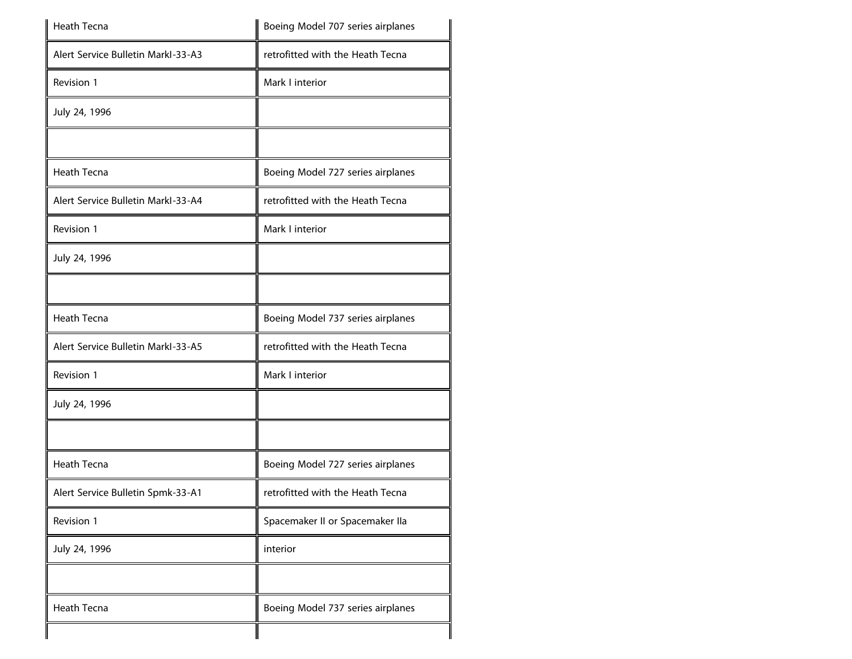| Heath Tecna                        | Boeing Model 707 series airplanes |  |
|------------------------------------|-----------------------------------|--|
| Alert Service Bulletin Markl-33-A3 | retrofitted with the Heath Tecna  |  |
| Revision 1                         | Mark I interior                   |  |
| July 24, 1996                      |                                   |  |
|                                    |                                   |  |
| <b>Heath Tecna</b>                 | Boeing Model 727 series airplanes |  |
| Alert Service Bulletin Markl-33-A4 | retrofitted with the Heath Tecna  |  |
| Revision 1                         | Mark I interior                   |  |
| July 24, 1996                      |                                   |  |
|                                    |                                   |  |
| <b>Heath Tecna</b>                 | Boeing Model 737 series airplanes |  |
| Alert Service Bulletin Markl-33-A5 | retrofitted with the Heath Tecna  |  |
| Revision 1                         | Mark I interior                   |  |
| July 24, 1996                      |                                   |  |
|                                    |                                   |  |
| Heath Tecna                        | Boeing Model 727 series airplanes |  |
| Alert Service Bulletin Spmk-33-A1  | retrofitted with the Heath Tecna  |  |
| Revision 1                         | Spacemaker II or Spacemaker IIa   |  |
| July 24, 1996                      | interior                          |  |
|                                    |                                   |  |
| Heath Tecna                        | Boeing Model 737 series airplanes |  |
|                                    |                                   |  |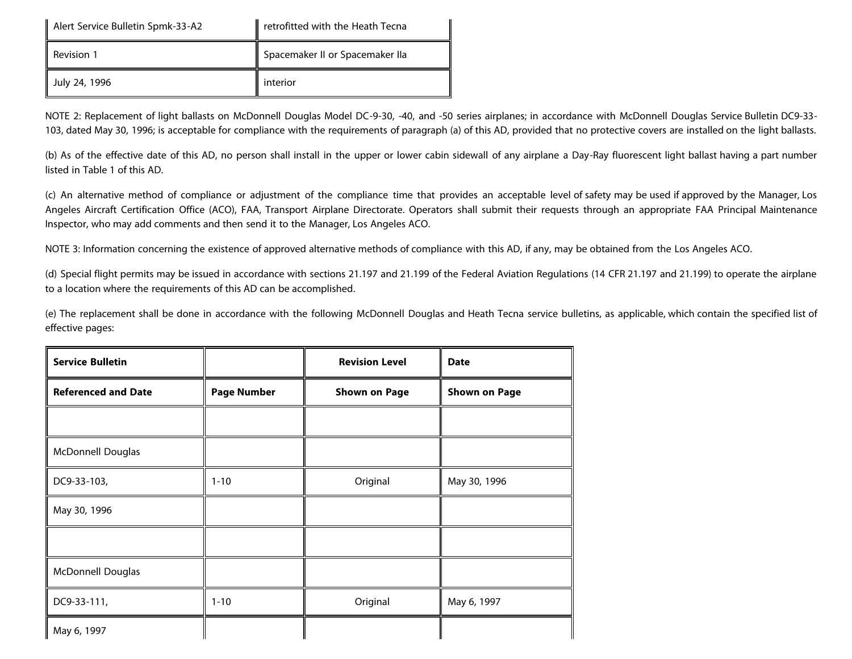| Alert Service Bulletin Spmk-33-A2 | retrofitted with the Heath Tecna |  |
|-----------------------------------|----------------------------------|--|
| Revision 1                        | Spacemaker II or Spacemaker IIa  |  |
| July 24, 1996                     | interior                         |  |

NOTE 2: Replacement of light ballasts on McDonnell Douglas Model DC-9-30, -40, and -50 series airplanes; in accordance with McDonnell Douglas Service Bulletin DC9-33- 103, dated May 30, 1996; is acceptable for compliance with the requirements of paragraph (a) of this AD, provided that no protective covers are installed on the light ballasts.

(b) As of the effective date of this AD, no person shall install in the upper or lower cabin sidewall of any airplane a Day-Ray fluorescent light ballast having a part number listed in Table 1 of this AD.

(c) An alternative method of compliance or adjustment of the compliance time that provides an acceptable level of safety may be used if approved by the Manager, Los Angeles Aircraft Certification Office (ACO), FAA, Transport Airplane Directorate. Operators shall submit their requests through an appropriate FAA Principal Maintenance Inspector, who may add comments and then send it to the Manager, Los Angeles ACO.

NOTE 3: Information concerning the existence of approved alternative methods of compliance with this AD, if any, may be obtained from the Los Angeles ACO.

(d) Special flight permits may be issued in accordance with sections 21.197 and 21.199 of the Federal Aviation Regulations (14 CFR 21.197 and 21.199) to operate the airplane to a location where the requirements of this AD can be accomplished.

(e) The replacement shall be done in accordance with the following McDonnell Douglas and Heath Tecna service bulletins, as applicable, which contain the specified list of effective pages:

| <b>Service Bulletin</b>    |                    | <b>Revision Level</b> | <b>Date</b>          |
|----------------------------|--------------------|-----------------------|----------------------|
| <b>Referenced and Date</b> | <b>Page Number</b> | <b>Shown on Page</b>  | <b>Shown on Page</b> |
|                            |                    |                       |                      |
| <b>McDonnell Douglas</b>   |                    |                       |                      |
| DC9-33-103,                | $1 - 10$           | Original              | May 30, 1996         |
| May 30, 1996               |                    |                       |                      |
|                            |                    |                       |                      |
| McDonnell Douglas          |                    |                       |                      |
| DC9-33-111,                | $1 - 10$           | Original              | May 6, 1997          |
| May 6, 1997                |                    |                       |                      |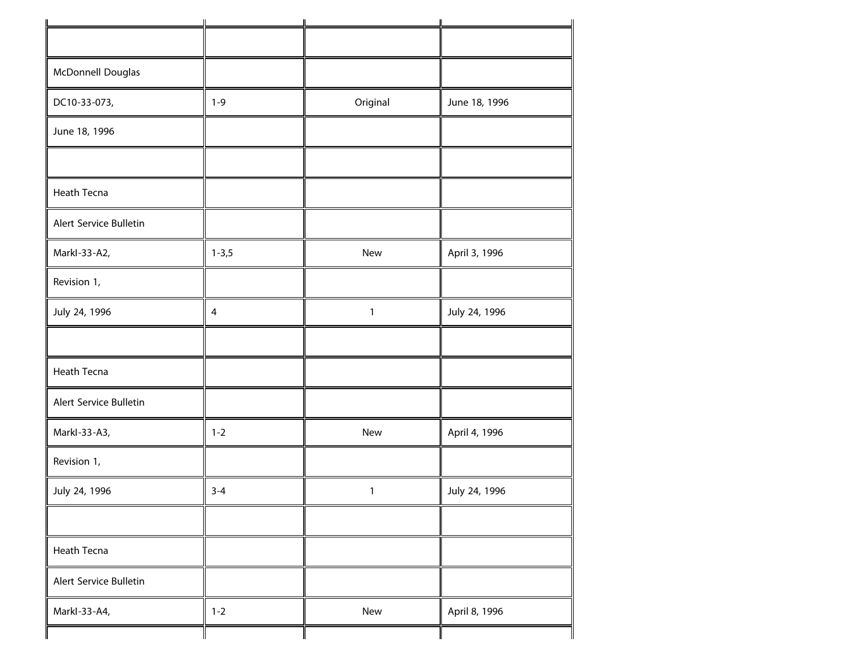| McDonnell Douglas      |                |              |               |
|------------------------|----------------|--------------|---------------|
| DC10-33-073,           | $1 - 9$        | Original     | June 18, 1996 |
| June 18, 1996          |                |              |               |
| Heath Tecna            |                |              |               |
| Alert Service Bulletin |                |              |               |
| Markl-33-A2,           | $1 - 3,5$      | New          | April 3, 1996 |
| Revision 1,            |                |              |               |
| July 24, 1996          | $\overline{4}$ | $\mathbf{1}$ | July 24, 1996 |
|                        |                |              |               |
| Heath Tecna            |                |              |               |
| Alert Service Bulletin |                |              |               |
| Markl-33-A3,           | $1 - 2$        | New          | April 4, 1996 |
| Revision 1,            |                |              |               |
| July 24, 1996          | $3 - 4$        | $\mathbf{1}$ | July 24, 1996 |
|                        |                |              |               |
| Heath Tecna            |                |              |               |
| Alert Service Bulletin |                |              |               |
| Markl-33-A4,           | $1 - 2$        | New          | April 8, 1996 |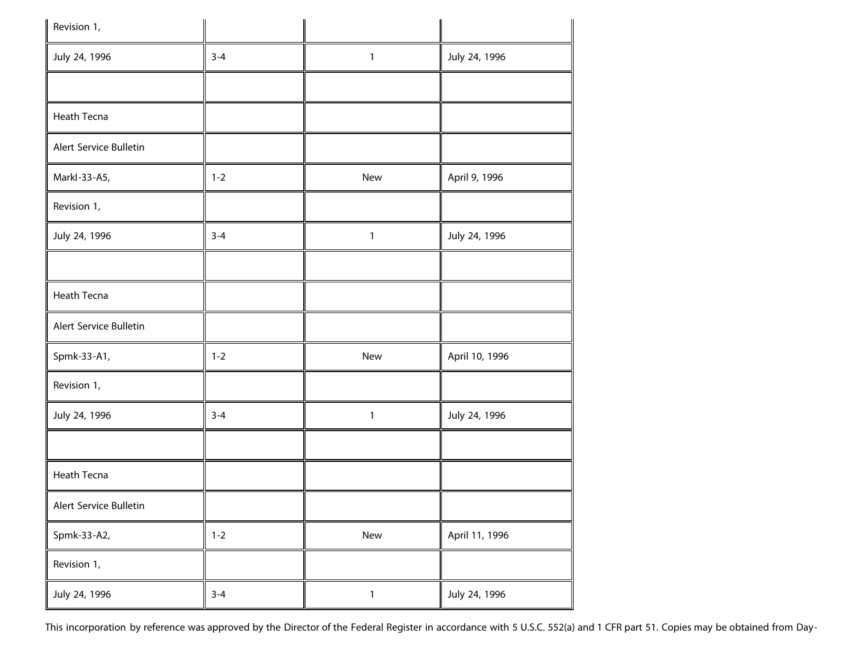| II<br>Revision 1,      |         |              |                |
|------------------------|---------|--------------|----------------|
| July 24, 1996          | $3 - 4$ | $\mathbf{1}$ | July 24, 1996  |
|                        |         |              |                |
| Heath Tecna            |         |              |                |
| Alert Service Bulletin |         |              |                |
| MarkI-33-A5,           | $1 - 2$ | New          | April 9, 1996  |
| Revision 1,            |         |              |                |
| July 24, 1996          | $3 - 4$ | $\mathbf{1}$ | July 24, 1996  |
|                        |         |              |                |
| Heath Tecna            |         |              |                |
| Alert Service Bulletin |         |              |                |
| Spmk-33-A1,            | $1 - 2$ | New          | April 10, 1996 |
| Revision 1,            |         |              |                |
| July 24, 1996          | $3 - 4$ | 1            | July 24, 1996  |
|                        |         |              |                |
| Heath Tecna            |         |              |                |
| Alert Service Bulletin |         |              |                |
| Spmk-33-A2,            | $1 - 2$ | New          | April 11, 1996 |
| Revision 1,            |         |              |                |
| July 24, 1996          | $3 - 4$ | $\mathbf{1}$ | July 24, 1996  |

This incorporation by reference was approved by the Director of the Federal Register in accordance with 5 U.S.C. 552(a) and 1 CFR part 51. Copies may be obtained from Day-